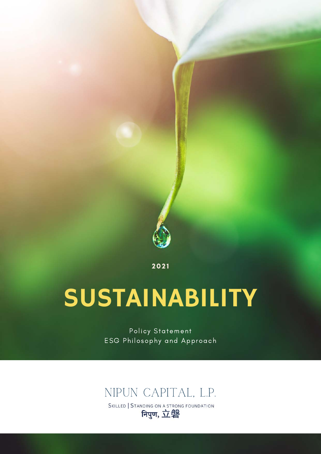

2 0 2 1

# SUSTAINABILITY

Policy Statement ESG Philosophy and Approach

NIPUN CAPITAL, L.P.<br>Skilled | Standing on a strong foundation<br>**Figut, 立磐**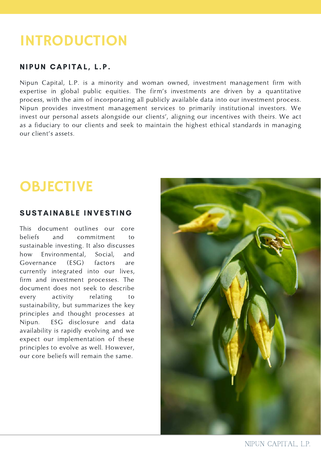### INTRODUCTION

#### NIPUN CAPITAL, L.P.

Nipun Capital, L.P. is a minority and woman owned, investment management firm with expertise in global public equities. The firm's investments are driven by a quantitative process, with the aim of incorporating all publicly available data into our investment process. Nipun provides investment management services to primarily institutional investors. We invest our personal assets alongside our clients', aligning our incentives with theirs. We act as a fiduciary to our clients and seek to maintain the highest ethical standards in managing our client's assets.

## **OBJECTIVE**

#### SUSTAINABLE INVESTING

This document outlines our core beliefs and commitment to sustainable investing. It also discusses how Environmental, Social, and Governance (ESG) factors are currently integrated into our lives, firm and investment processes. The document does not seek to describe every activity relating to sustainability, but summarizes the key principles and thought processes at Nipun. ESG disclosure and data availability is rapidly evolving and we expect our implementation of these principles to evolve as well. However, our core beliefs will remain the same.

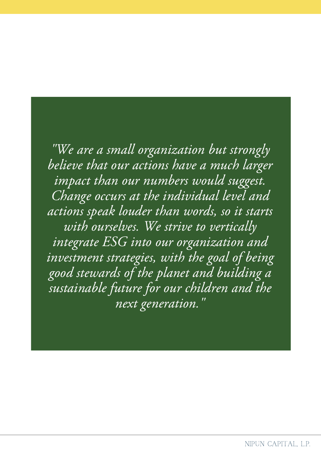"We are a small organization but strongly believe that our actions have a much larger impact than our numbers would suggest. Change occurs at the individual level and actions speak louder than words, so it starts with ourselves. We strive to vertically integrate ESG into our organization and investment strategies, with the goal of being good stewards of the planet and building a sustainable future for our children and the next generation."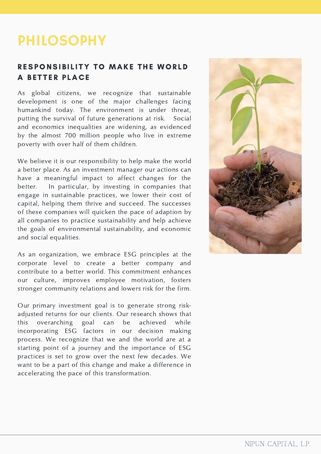### PHILOSOPHY

#### RESPONSIBILITY TO MAKE THE WORLD A BETTER PLACE

As global citizens, we recognize that sustainable development is one of the major challenges facing humankind today. The environment is under threat, putting the survival of future generations at risk. Social and economics inequalities are widening, as evidenced by the almost 700 million people who live in extreme poverty with over half of them children.

We believe it is our responsibility to help make the world a better place. As an investment manager our actions can have a meaningful impact to affect changes for the better. In particular, by investing in companies that engage in sustainable practices, we lower their cost of capital, helping them thrive and succeed. The successes of these companies will quicken the pace of adaption by all companies to practice sustainability and help achieve the goals of environmental sustainability, and economic and social equalities.

As an organization, we embrace ESG principles at the corporate level to create a better company and contribute to a better world. This commitment enhances our culture, improves employee motivation, fosters stronger community relations and lowers risk for the firm.

Our primary investment goal is to generate strong riskadjusted returns for our clients. Our research shows that this overarching goal can be achieved while incorporating ESG factors in our decision making process. We recognize that we and the world are at a starting point of a journey and the importance of ESG practices is set to grow over the next few decades. We want to be a part of this change and make a difference in accelerating the pace of this transformation.

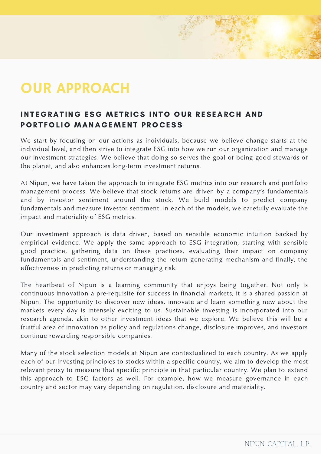### OUR APPROACH

### INTEGRATING ESG METRICS INTO OUR RESEARCH AND PORTFOLIO MANAGEMENT PROCESS

We start by focusing on our actions as individuals, because we believe change starts at the individual level, and then strive to integrate ESG into how we run our organization and manage our investment strategies. We believe that doing so serves the goal of being good stewards of the planet, and also enhances long-term investment returns.

At Nipun, we have taken the approach to integrate ESG metrics into our research and portfolio management process. We believe that stock returns are driven by a company's fundamentals and by investor sentiment around the stock. We build models to predict company fundamentals and measure investor sentiment. In each of the models, we carefully evaluate the impact and materiality of ESG metrics.

Our investment approach is data driven, based on sensible economic intuition backed by empirical evidence. We apply the same approach to ESG integration, starting with sensible good practice, gathering data on these practices, evaluating their impact on company fundamentals and sentiment, understanding the return generating mechanism and finally, the effectiveness in predicting returns or managing risk.

The heartbeat of Nipun is a learning community that enjoys being together. Not only is continuous innovation a pre-requisite for success in financial markets, it is a shared passion at Nipun. The opportunity to discover new ideas, innovate and learn something new about the markets every day is intensely exciting to us. Sustainable investing is incorporated into our research agenda, akin to other investment ideas that we explore. We believe this will be a fruitful area of innovation as policy and regulations change, disclosure improves, and investors continue rewarding responsible companies.

Many of the stock selection models at Nipun are contextualized to each country. As we apply each of our investing principles to stocks within a specific country, we aim to develop the most relevant proxy to measure that specific principle in that particular country. We plan to extend this approach to ESG factors as well. For example, how we measure governance in each country and sector may vary depending on regulation, disclosure and materiality.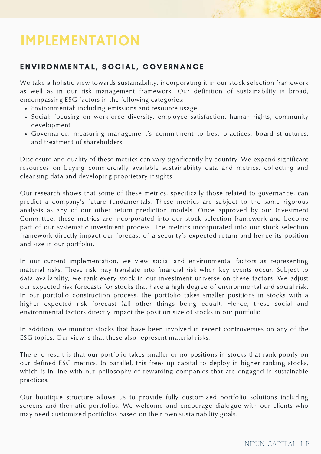### IMPLEMENTATION

#### ENVIRONMENTAL, SOCIAL, GOVERNANCE

We take a holistic view towards sustainability, incorporating it in our stock selection framework as well as in our risk management framework. Our definition of sustainability is broad, encompassing ESG factors in the following categories:

- Environmental: including emissions and resource usage
- Social: focusing on workforce diversity, employee satisfaction, human rights, community development
- Governance: measuring management's commitment to best practices, board structures, and treatment of shareholders

Disclosure and quality of these metrics can vary significantly by country. We expend significant resources on buying commercially available sustainability data and metrics, collecting and cleansing data and developing proprietary insights.

Our research shows that some of these metrics, specifically those related to governance, can predict a company's future fundamentals. These metrics are subject to the same rigorous analysis as any of our other return prediction models. Once approved by our Investment Committee, these metrics are incorporated into our stock selection framework and become part of our systematic investment process. The metrics incorporated into our stock selection framework directly impact our forecast of a security's expected return and hence its position and size in our portfolio.

In our current implementation, we view social and environmental factors as representing material risks. These risk may translate into financial risk when key events occur. Subject to data availability, we rank every stock in our investment universe on these factors. We adjust our expected risk forecasts for stocks that have a high degree of environmental and social risk. In our portfolio construction process, the portfolio takes smaller positions in stocks with a higher expected risk forecast (all other things being equal). Hence, these social and environmental factors directly impact the position size of stocks in our portfolio.

In addition, we monitor stocks that have been involved in recent controversies on any of the ESG topics. Our view is that these also represent material risks.

The end result is that our portfolio takes smaller or no positions in stocks that rank poorly on our defined ESG metrics. In parallel, this frees up capital to deploy in higher ranking stocks, which is in line with our philosophy of rewarding companies that are engaged in sustainable practices.

Our boutique structure allows us to provide fully customized portfolio solutions including screens and thematic portfolios. We welcome and encourage dialogue with our clients who may need customized portfolios based on their own sustainability goals.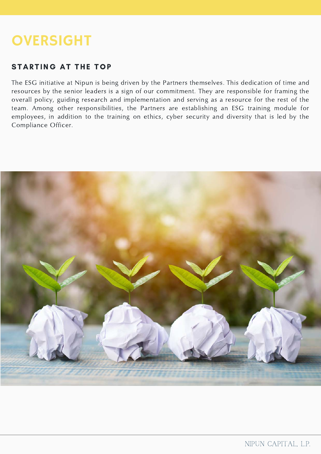### **OVERSIGHT**

#### STARTING AT THE TOP

The ESG initiative at Nipun is being driven by the Partners themselves. This dedication of time and resources by the senior leaders is a sign of our commitment. They are responsible for framing the overall policy, guiding research and implementation and serving as a resource for the rest of the team. Among other responsibilities, the Partners are establishing an ESG training module for employees, in addition to the training on ethics, cyber security and diversity that is led by the Compliance Officer.

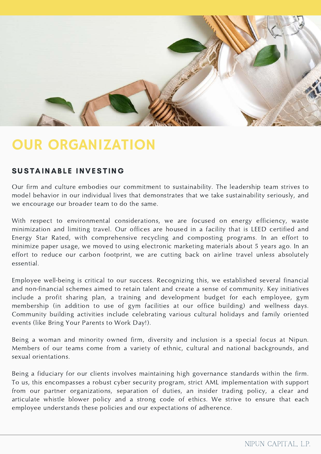

### OUR ORGANIZATION

#### SUSTAINABLE INVESTING

Our firm and culture embodies our commitment to sustainability. The leadership team strives to model behavior in our individual lives that demonstrates that we take sustainability seriously, and we encourage our broader team to do the same.

With respect to environmental considerations, we are focused on energy efficiency, waste minimization and limiting travel. Our offices are housed in a facility that is LEED certified and Energy Star Rated, with comprehensive recycling and composting programs. In an effort to minimize paper usage, we moved to using electronic marketing materials about 5 years ago. In an effort to reduce our carbon footprint, we are cutting back on airline travel unless absolutely essential.

Employee well-being is critical to our success. Recognizing this, we established several financial and non-financial schemes aimed to retain talent and create a sense of community. Key initiatives include a profit sharing plan, a training and development budget for each employee, gym membership (in addition to use of gym facilities at our office building) and wellness days. Community building activities include celebrating various cultural holidays and family oriented events (like Bring Your Parents to Work Day!).

Being a woman and minority owned firm, diversity and inclusion is a special focus at Nipun. Members of our teams come from a variety of ethnic, cultural and national backgrounds, and sexual orientations.

Being a fiduciary for our clients involves maintaining high governance standards within the firm. To us, this encompasses a robust cyber security program, strict AML implementation with support from our partner organizations, separation of duties, an insider trading policy, a clear and articulate whistle blower policy and a strong code of ethics. We strive to ensure that each employee understands these policies and our expectations of adherence.